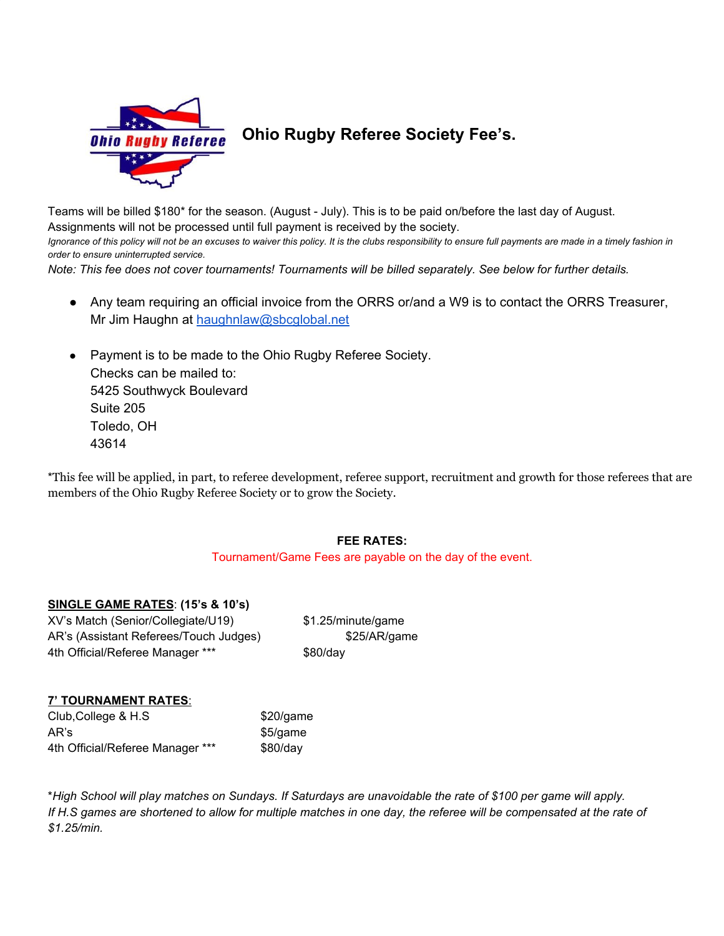

## **Ohio Rugby Referee Society Fee's.**

Teams will be billed \$180\* for the season. (August - July). This is to be paid on/before the last day of August. Assignments will not be processed until full payment is received by the society. Ignorance of this policy will not be an excuses to waiver this policy. It is the clubs responsibility to ensure full payments are made in a timely fashion in *order to ensure uninterrupted service.*

Note: This fee does not cover tournaments! Tournaments will be billed separately. See below for further details.

- Any team requiring an official invoice from the ORRS or/and a W9 is to contact the ORRS Treasurer, Mr Jim Haughn at [haughnlaw@sbcglobal.net](mailto:haughnlaw@sbcglobal.net)
- Payment is to be made to the Ohio Rugby Referee Society. Checks can be mailed to: 5425 Southwyck Boulevard Suite 205 Toledo, OH 43614

\*This fee will be applied, in part, to referee development, referee support, recruitment and growth for those referees that are members of the Ohio Rugby Referee Society or to grow the Society.

## **FEE RATES:**

Tournament/Game Fees are payable on the day of the event.

## **SINGLE GAME RATES**: **(15's & 10's)**

XV's Match (Senior/Collegiate/U19) \$1.25/minute/game AR's (Assistant Referees/Touch Judges) \$25/AR/game 4th Official/Referee Manager \*\*\* \$80/day

## **7' TOURNAMENT RATES**: Club, College & H.S \$20/game AR's \$5/game

4th Official/Referee Manager \*\*\* \$80/day

\*High School will play matches on Sundays. If Saturdays are unavoidable the rate of \$100 per game will apply. If H.S games are shortened to allow for multiple matches in one day, the referee will be compensated at the rate of *\$1.25/min.*